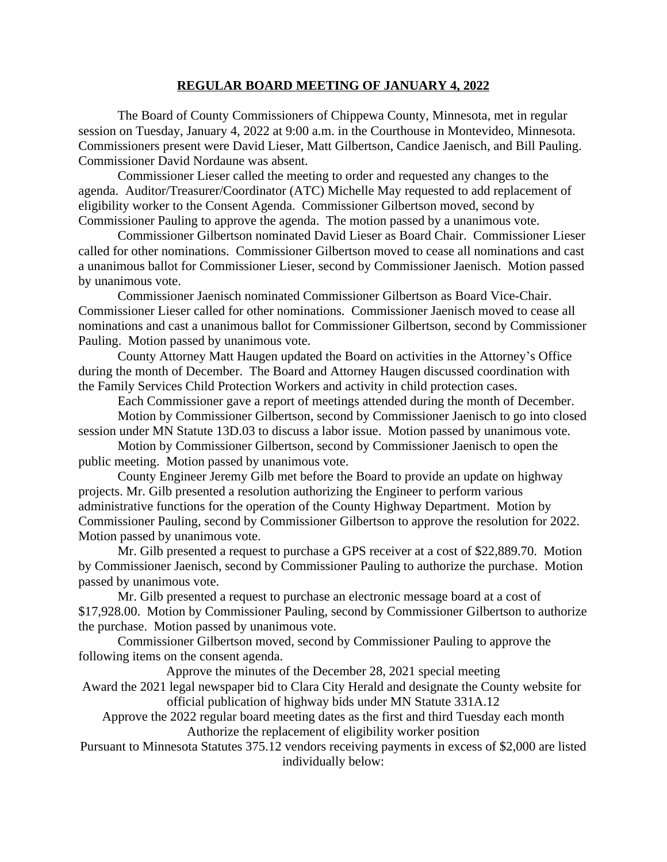## **REGULAR BOARD MEETING OF JANUARY 4, 2022**

The Board of County Commissioners of Chippewa County, Minnesota, met in regular session on Tuesday, January 4, 2022 at 9:00 a.m. in the Courthouse in Montevideo, Minnesota. Commissioners present were David Lieser, Matt Gilbertson, Candice Jaenisch, and Bill Pauling. Commissioner David Nordaune was absent.

Commissioner Lieser called the meeting to order and requested any changes to the agenda. Auditor/Treasurer/Coordinator (ATC) Michelle May requested to add replacement of eligibility worker to the Consent Agenda. Commissioner Gilbertson moved, second by Commissioner Pauling to approve the agenda. The motion passed by a unanimous vote.

Commissioner Gilbertson nominated David Lieser as Board Chair. Commissioner Lieser called for other nominations. Commissioner Gilbertson moved to cease all nominations and cast a unanimous ballot for Commissioner Lieser, second by Commissioner Jaenisch. Motion passed by unanimous vote.

Commissioner Jaenisch nominated Commissioner Gilbertson as Board Vice-Chair. Commissioner Lieser called for other nominations. Commissioner Jaenisch moved to cease all nominations and cast a unanimous ballot for Commissioner Gilbertson, second by Commissioner Pauling. Motion passed by unanimous vote.

County Attorney Matt Haugen updated the Board on activities in the Attorney's Office during the month of December. The Board and Attorney Haugen discussed coordination with the Family Services Child Protection Workers and activity in child protection cases.

Each Commissioner gave a report of meetings attended during the month of December.

Motion by Commissioner Gilbertson, second by Commissioner Jaenisch to go into closed session under MN Statute 13D.03 to discuss a labor issue. Motion passed by unanimous vote.

Motion by Commissioner Gilbertson, second by Commissioner Jaenisch to open the public meeting. Motion passed by unanimous vote.

County Engineer Jeremy Gilb met before the Board to provide an update on highway projects. Mr. Gilb presented a resolution authorizing the Engineer to perform various administrative functions for the operation of the County Highway Department. Motion by Commissioner Pauling, second by Commissioner Gilbertson to approve the resolution for 2022. Motion passed by unanimous vote.

Mr. Gilb presented a request to purchase a GPS receiver at a cost of \$22,889.70. Motion by Commissioner Jaenisch, second by Commissioner Pauling to authorize the purchase. Motion passed by unanimous vote.

Mr. Gilb presented a request to purchase an electronic message board at a cost of \$17,928.00. Motion by Commissioner Pauling, second by Commissioner Gilbertson to authorize the purchase. Motion passed by unanimous vote.

Commissioner Gilbertson moved, second by Commissioner Pauling to approve the following items on the consent agenda.

Approve the minutes of the December 28, 2021 special meeting Award the 2021 legal newspaper bid to Clara City Herald and designate the County website for official publication of highway bids under MN Statute 331A.12

Approve the 2022 regular board meeting dates as the first and third Tuesday each month Authorize the replacement of eligibility worker position

Pursuant to Minnesota Statutes 375.12 vendors receiving payments in excess of \$2,000 are listed individually below: